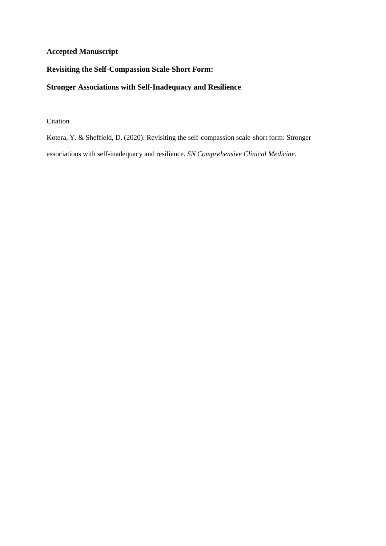# **Accepted Manuscript**

# **Revisiting the Self-Compassion Scale-Short Form:**

# **Stronger Associations with Self-Inadequacy and Resilience**

# Citation

Kotera, Y. & Sheffield, D. (2020). Revisiting the self-compassion scale-short form: Stronger associations with self-inadequacy and resilience. *SN Comprehensive Clinical Medicine*.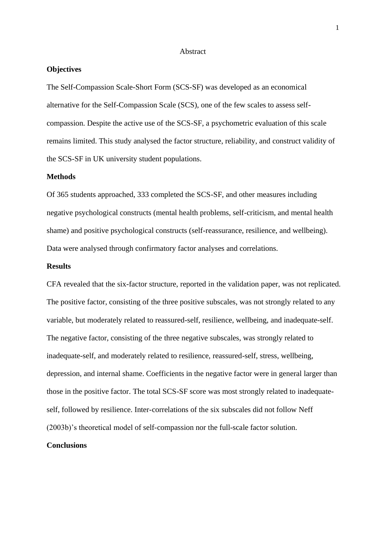## Abstract

### **Objectives**

The Self-Compassion Scale-Short Form (SCS-SF) was developed as an economical alternative for the Self-Compassion Scale (SCS), one of the few scales to assess selfcompassion. Despite the active use of the SCS-SF, a psychometric evaluation of this scale remains limited. This study analysed the factor structure, reliability, and construct validity of the SCS-SF in UK university student populations.

#### **Methods**

Of 365 students approached, 333 completed the SCS-SF, and other measures including negative psychological constructs (mental health problems, self-criticism, and mental health shame) and positive psychological constructs (self-reassurance, resilience, and wellbeing). Data were analysed through confirmatory factor analyses and correlations.

## **Results**

CFA revealed that the six-factor structure, reported in the validation paper, was not replicated. The positive factor, consisting of the three positive subscales, was not strongly related to any variable, but moderately related to reassured-self, resilience, wellbeing, and inadequate-self. The negative factor, consisting of the three negative subscales, was strongly related to inadequate-self, and moderately related to resilience, reassured-self, stress, wellbeing, depression, and internal shame. Coefficients in the negative factor were in general larger than those in the positive factor. The total SCS-SF score was most strongly related to inadequateself, followed by resilience. Inter-correlations of the six subscales did not follow Neff (2003b)'s theoretical model of self-compassion nor the full-scale factor solution.

## **Conclusions**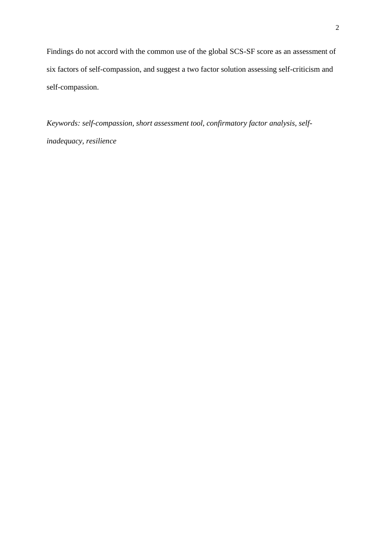Findings do not accord with the common use of the global SCS-SF score as an assessment of six factors of self-compassion, and suggest a two factor solution assessing self-criticism and self-compassion.

*Keywords: self-compassion, short assessment tool, confirmatory factor analysis, selfinadequacy, resilience*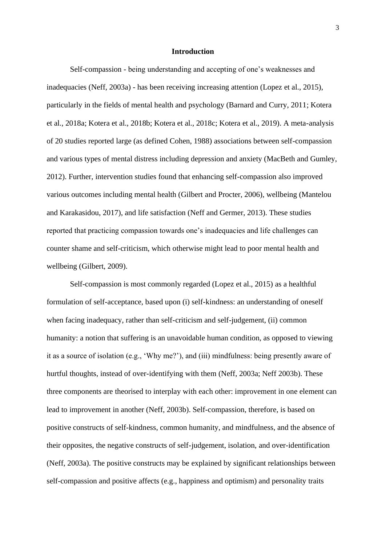#### **Introduction**

Self-compassion - being understanding and accepting of one's weaknesses and inadequacies (Neff, 2003a) - has been receiving increasing attention (Lopez et al., 2015), particularly in the fields of mental health and psychology (Barnard and Curry, 2011; Kotera et al., 2018a; Kotera et al., 2018b; Kotera et al., 2018c; Kotera et al., 2019). A meta-analysis of 20 studies reported large (as defined Cohen, 1988) associations between self-compassion and various types of mental distress including depression and anxiety (MacBeth and Gumley, 2012). Further, intervention studies found that enhancing self-compassion also improved various outcomes including mental health (Gilbert and Procter, 2006), wellbeing (Mantelou and Karakasidou, 2017), and life satisfaction (Neff and Germer, 2013). These studies reported that practicing compassion towards one's inadequacies and life challenges can counter shame and self-criticism, which otherwise might lead to poor mental health and wellbeing (Gilbert, 2009).

Self-compassion is most commonly regarded (Lopez et al., 2015) as a healthful formulation of self-acceptance, based upon (i) self-kindness: an understanding of oneself when facing inadequacy, rather than self-criticism and self-judgement, (ii) common humanity: a notion that suffering is an unavoidable human condition, as opposed to viewing it as a source of isolation (e.g., 'Why me?'), and (iii) mindfulness: being presently aware of hurtful thoughts, instead of over-identifying with them (Neff, 2003a; Neff 2003b). These three components are theorised to interplay with each other: improvement in one element can lead to improvement in another (Neff, 2003b). Self-compassion, therefore, is based on positive constructs of self-kindness, common humanity, and mindfulness, and the absence of their opposites, the negative constructs of self-judgement, isolation, and over-identification (Neff, 2003a). The positive constructs may be explained by significant relationships between self-compassion and positive affects (e.g., happiness and optimism) and personality traits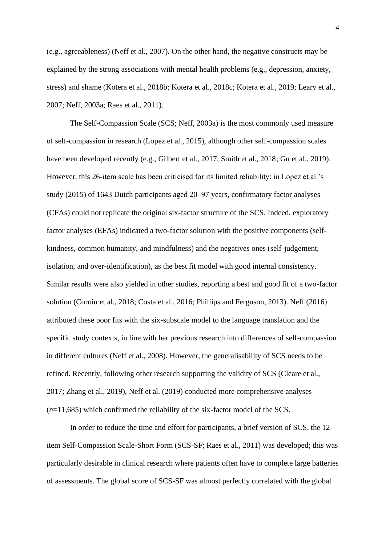(e.g., agreeableness) (Neff et al., 2007). On the other hand, the negative constructs may be explained by the strong associations with mental health problems (e.g., depression, anxiety, stress) and shame (Kotera et al., 2018b; Kotera et al., 2018c; Kotera et al., 2019; Leary et al., 2007; Neff, 2003a; Raes et al., 2011).

The Self-Compassion Scale (SCS; Neff, 2003a) is the most commonly used measure of self-compassion in research (Lopez et al., 2015), although other self-compassion scales have been developed recently (e.g., Gilbert et al., 2017; Smith et al., 2018; Gu et al., 2019). However, this 26-item scale has been criticised for its limited reliability; in Lopez et al.'s study (2015) of 1643 Dutch participants aged 20–97 years, confirmatory factor analyses (CFAs) could not replicate the original six-factor structure of the SCS. Indeed, exploratory factor analyses (EFAs) indicated a two-factor solution with the positive components (selfkindness, common humanity, and mindfulness) and the negatives ones (self-judgement, isolation, and over-identification), as the best fit model with good internal consistency. Similar results were also yielded in other studies, reporting a best and good fit of a two-factor solution (Coroiu et al., 2018; Costa et al., 2016; Phillips and Ferguson, 2013). Neff (2016) attributed these poor fits with the six-subscale model to the language translation and the specific study contexts, in line with her previous research into differences of self-compassion in different cultures (Neff et al., 2008). However, the generalisability of SCS needs to be refined. Recently, following other research supporting the validity of SCS (Cleare et al., 2017; Zhang et al., 2019), Neff et al. (2019) conducted more comprehensive analyses (*n*=11,685) which confirmed the reliability of the six-factor model of the SCS.

In order to reduce the time and effort for participants, a brief version of SCS, the 12 item Self-Compassion Scale-Short Form (SCS-SF; Raes et al., 2011) was developed; this was particularly desirable in clinical research where patients often have to complete large batteries of assessments. The global score of SCS-SF was almost perfectly correlated with the global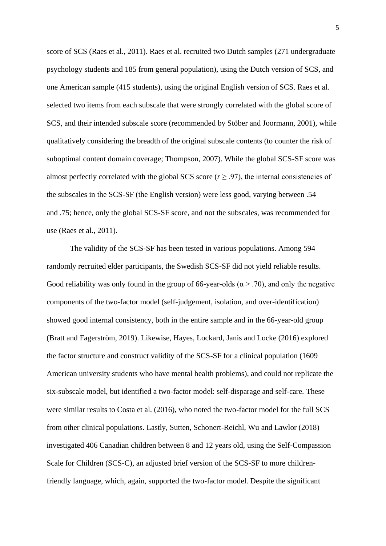score of SCS (Raes et al., 2011). Raes et al. recruited two Dutch samples (271 undergraduate psychology students and 185 from general population), using the Dutch version of SCS, and one American sample (415 students), using the original English version of SCS. Raes et al. selected two items from each subscale that were strongly correlated with the global score of SCS, and their intended subscale score (recommended by Stöber and Joormann, 2001), while qualitatively considering the breadth of the original subscale contents (to counter the risk of suboptimal content domain coverage; Thompson, 2007). While the global SCS-SF score was almost perfectly correlated with the global SCS score ( $r \geq .97$ ), the internal consistencies of the subscales in the SCS-SF (the English version) were less good, varying between .54 and .75; hence, only the global SCS-SF score, and not the subscales, was recommended for use (Raes et al., 2011).

The validity of the SCS-SF has been tested in various populations. Among 594 randomly recruited elder participants, the Swedish SCS-SF did not yield reliable results. Good reliability was only found in the group of 66-year-olds ( $\alpha$  > .70), and only the negative components of the two-factor model (self-judgement, isolation, and over-identification) showed good internal consistency, both in the entire sample and in the 66-year-old group (Bratt and Fagerström, 2019). Likewise, Hayes, Lockard, Janis and Locke (2016) explored the factor structure and construct validity of the SCS-SF for a clinical population (1609 American university students who have mental health problems), and could not replicate the six-subscale model, but identified a two-factor model: self-disparage and self-care. These were similar results to Costa et al. (2016), who noted the two-factor model for the full SCS from other clinical populations. Lastly, Sutten, Schonert-Reichl, Wu and Lawlor (2018) investigated 406 Canadian children between 8 and 12 years old, using the Self-Compassion Scale for Children (SCS-C), an adjusted brief version of the SCS-SF to more childrenfriendly language, which, again, supported the two-factor model. Despite the significant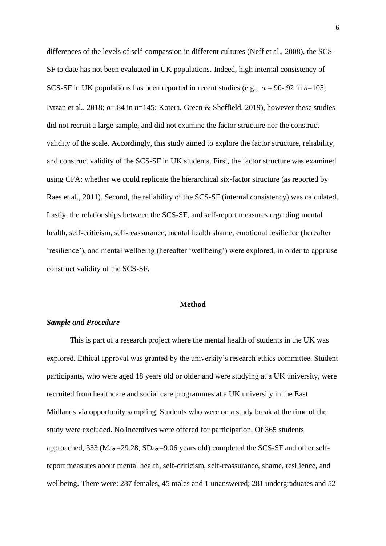differences of the levels of self-compassion in different cultures (Neff et al., 2008), the SCS-SF to date has not been evaluated in UK populations. Indeed, high internal consistency of SCS-SF in UK populations has been reported in recent studies (e.g.,  $\alpha = 90-0.92$  in  $n=105$ ; Ivtzan et al., 2018; α=.84 in *n*=145; Kotera, Green & Sheffield, 2019), however these studies did not recruit a large sample, and did not examine the factor structure nor the construct validity of the scale. Accordingly, this study aimed to explore the factor structure, reliability, and construct validity of the SCS-SF in UK students. First, the factor structure was examined using CFA: whether we could replicate the hierarchical six-factor structure (as reported by Raes et al., 2011). Second, the reliability of the SCS-SF (internal consistency) was calculated. Lastly, the relationships between the SCS-SF, and self-report measures regarding mental health, self-criticism, self-reassurance, mental health shame, emotional resilience (hereafter 'resilience'), and mental wellbeing (hereafter 'wellbeing') were explored, in order to appraise construct validity of the SCS-SF.

## **Method**

## *Sample and Procedure*

This is part of a research project where the mental health of students in the UK was explored. Ethical approval was granted by the university's research ethics committee. Student participants, who were aged 18 years old or older and were studying at a UK university, were recruited from healthcare and social care programmes at a UK university in the East Midlands via opportunity sampling. Students who were on a study break at the time of the study were excluded. No incentives were offered for participation. Of 365 students approached, 333 (Mage=29.28, SDage=9.06 years old) completed the SCS-SF and other selfreport measures about mental health, self-criticism, self-reassurance, shame, resilience, and wellbeing. There were: 287 females, 45 males and 1 unanswered; 281 undergraduates and 52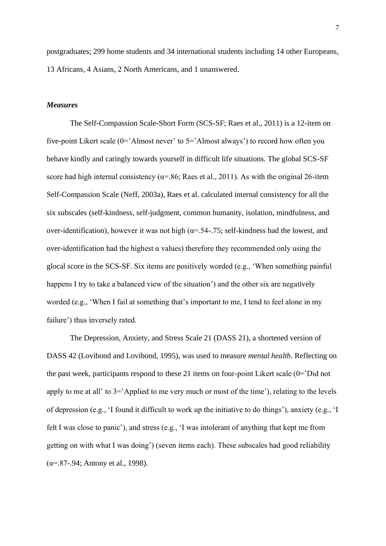postgraduates; 299 home students and 34 international students including 14 other Europeans, 13 Africans, 4 Asians, 2 North Americans, and 1 unanswered.

## *Measures*

The Self-Compassion Scale-Short Form (SCS-SF; Raes et al., 2011) is a 12-item on five-point Likert scale (0='Almost never' to 5='Almost always') to record how often you behave kindly and caringly towards yourself in difficult life situations. The global SCS-SF score had high internal consistency ( $\alpha$ =.86; Raes et al., 2011). As with the original 26-item Self-Compassion Scale (Neff, 2003a), Raes et al. calculated internal consistency for all the six subscales (self-kindness, self-judgment, common humanity, isolation, mindfulness, and over-identification), however it was not high ( $\alpha$ =.54-.75; self-kindness had the lowest, and over-identification had the highest  $\alpha$  values) therefore they recommended only using the glocal score in the SCS-SF. Six items are positively worded (e.g., 'When something painful happens I try to take a balanced view of the situation') and the other six are negatively worded (e.g., 'When I fail at something that's important to me, I tend to feel alone in my failure') thus inversely rated.

The Depression, Anxiety, and Stress Scale 21 (DASS 21), a shortened version of DASS 42 (Lovibond and Lovibond, 1995), was used to measure *mental health*. Reflecting on the past week, participants respond to these 21 items on four-point Likert scale (0='Did not apply to me at all' to 3='Applied to me very much or most of the time'), relating to the levels of depression (e.g., 'I found it difficult to work up the initiative to do things'), anxiety (e.g., 'I felt I was close to panic'), and stress (e.g., 'I was intolerant of anything that kept me from getting on with what I was doing') (seven items each). These subscales had good reliability  $(\alpha = .87-.94;$  Antony et al., 1998).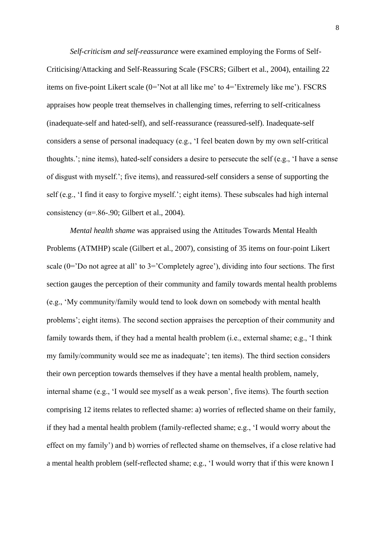*Self-criticism and self-reassurance* were examined employing the Forms of Self-Criticising/Attacking and Self-Reassuring Scale (FSCRS; Gilbert et al., 2004), entailing 22 items on five-point Likert scale (0='Not at all like me' to 4='Extremely like me'). FSCRS appraises how people treat themselves in challenging times, referring to self-criticalness (inadequate-self and hated-self), and self-reassurance (reassured-self). Inadequate-self considers a sense of personal inadequacy (e.g., 'I feel beaten down by my own self-critical thoughts.'; nine items), hated-self considers a desire to persecute the self (e.g., 'I have a sense of disgust with myself.'; five items), and reassured-self considers a sense of supporting the self (e.g., 'I find it easy to forgive myself.'; eight items). These subscales had high internal consistency ( $\alpha$ =.86-.90; Gilbert et al., 2004).

 *Mental health shame* was appraised using the Attitudes Towards Mental Health Problems (ATMHP) scale (Gilbert et al., 2007), consisting of 35 items on four-point Likert scale (0='Do not agree at all' to 3='Completely agree'), dividing into four sections. The first section gauges the perception of their community and family towards mental health problems (e.g., 'My community/family would tend to look down on somebody with mental health problems'; eight items). The second section appraises the perception of their community and family towards them, if they had a mental health problem (i.e., external shame; e.g., 'I think my family/community would see me as inadequate'; ten items). The third section considers their own perception towards themselves if they have a mental health problem, namely, internal shame (e.g., 'I would see myself as a weak person', five items). The fourth section comprising 12 items relates to reflected shame: a) worries of reflected shame on their family, if they had a mental health problem (family-reflected shame; e.g., 'I would worry about the effect on my family') and b) worries of reflected shame on themselves, if a close relative had a mental health problem (self-reflected shame; e.g., 'I would worry that if this were known I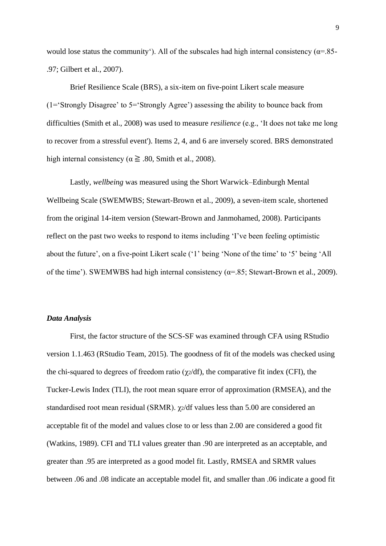would lose status the community'). All of the subscales had high internal consistency ( $\alpha$ =.85-.97; Gilbert et al., 2007).

Brief Resilience Scale (BRS), a six-item on five-point Likert scale measure (1='Strongly Disagree' to 5='Strongly Agree') assessing the ability to bounce back from difficulties (Smith et al., 2008) was used to measure *resilience* (e.g., 'It does not take me long to recover from a stressful event'). Items 2, 4, and 6 are inversely scored. BRS demonstrated high internal consistency ( $\alpha \geq .80$ , Smith et al., 2008).

Lastly, *wellbeing* was measured using the Short Warwick–Edinburgh Mental Wellbeing Scale (SWEMWBS; Stewart-Brown et al., 2009), a seven-item scale, shortened from the original 14-item version (Stewart-Brown and Janmohamed, 2008). Participants reflect on the past two weeks to respond to items including 'I've been feeling optimistic about the future', on a five-point Likert scale ('1' being 'None of the time' to '5' being 'All of the time'). SWEMWBS had high internal consistency ( $\alpha$ =.85; Stewart-Brown et al., 2009).

## *Data Analysis*

First, the factor structure of the SCS-SF was examined through CFA using RStudio version 1.1.463 (RStudio Team, 2015). The goodness of fit of the models was checked using the chi-squared to degrees of freedom ratio ( $\chi$ 2/df), the comparative fit index (CFI), the Tucker-Lewis Index (TLI), the root mean square error of approximation (RMSEA), and the standardised root mean residual (SRMR). χ2/df values less than 5.00 are considered an acceptable fit of the model and values close to or less than 2.00 are considered a good fit (Watkins, 1989). CFI and TLI values greater than .90 are interpreted as an acceptable, and greater than .95 are interpreted as a good model fit. Lastly, RMSEA and SRMR values between .06 and .08 indicate an acceptable model fit, and smaller than .06 indicate a good fit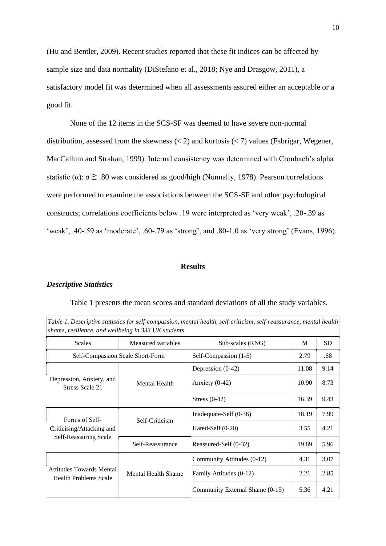(Hu and Bentler, 2009). Recent studies reported that these fit indices can be affected by sample size and data normality (DiStefano et al., 2018; Nye and Drasgow, 2011), a satisfactory model fit was determined when all assessments assured either an acceptable or a good fit.

None of the 12 items in the SCS-SF was deemed to have severe non-normal distribution, assessed from the skewness  $\left($  < 2) and kurtosis  $\left($  < 7) values (Fabrigar, Wegener, MacCallum and Strahan, 1999). Internal consistency was determined with Cronbach's alpha statistic ( $\alpha$ ):  $\alpha \ge 0.80$  was considered as good/high (Nunnally, 1978). Pearson correlations were performed to examine the associations between the SCS-SF and other psychological constructs; correlations coefficients below .19 were interpreted as 'very weak', .20-.39 as 'weak', .40-.59 as 'moderate', .60-.79 as 'strong', and .80-1.0 as 'very strong' (Evans, 1996).

## **Results**

#### *Descriptive Statistics*

| shame, resilience, and wellbeing in 333 UK students                  |                            | Table 1. Descriptive statistics for self-compassion, mental health, self-criticism, self-reassurance, mental health |       |           |
|----------------------------------------------------------------------|----------------------------|---------------------------------------------------------------------------------------------------------------------|-------|-----------|
| <b>Scales</b>                                                        | Measured variables         | Sub/scales (RNG)                                                                                                    | M     | <b>SD</b> |
| Self-Compassion Scale Short-Form                                     |                            | Self-Compassion (1-5)                                                                                               | 2.79  | .68       |
| Depression, Anxiety, and<br>Stress Scale 21                          | <b>Mental Health</b>       | Depression (0-42)                                                                                                   | 11.08 | 9.14      |
|                                                                      |                            | Anxiety $(0-42)$                                                                                                    | 10.90 | 8.73      |
|                                                                      |                            | Stress $(0-42)$                                                                                                     | 16.39 | 9.43      |
| Forms of Self-<br>Criticising/Attacking and<br>Self-Reassuring Scale | Self-Criticism             | Inadequate-Self $(0-36)$                                                                                            | 18.19 | 7.99      |
|                                                                      |                            | Hated-Self (0-20)                                                                                                   | 3.55  | 4.21      |
|                                                                      | Self-Reassurance           | Reassured-Self (0-32)                                                                                               | 19.89 | 5.96      |
| <b>Attitudes Towards Mental</b><br><b>Health Problems Scale</b>      | <b>Mental Health Shame</b> | Community Attitudes (0-12)                                                                                          | 4.31  | 3.07      |
|                                                                      |                            | Family Attitudes (0-12)                                                                                             | 2.21  | 2.85      |
|                                                                      |                            | Community External Shame (0-15)                                                                                     | 5.36  | 4.21      |

Table 1 presents the mean scores and standard deviations of all the study variables.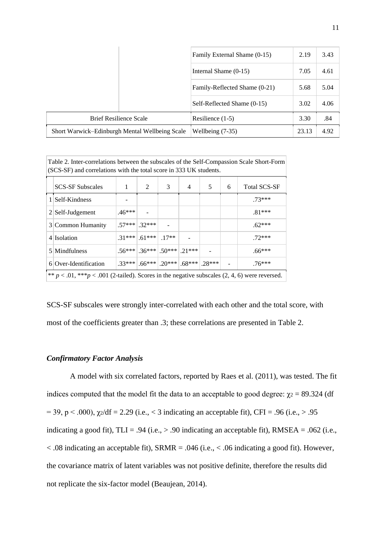|                                                | Family External Shame (0-15) |                               | 2.19  | 3.43 |
|------------------------------------------------|------------------------------|-------------------------------|-------|------|
|                                                |                              | Internal Shame $(0-15)$       | 7.05  | 4.61 |
|                                                |                              | Family-Reflected Shame (0-21) | 5.68  | 5.04 |
|                                                |                              | Self-Reflected Shame (0-15)   | 3.02  | 4.06 |
| <b>Brief Resilience Scale</b>                  |                              | Resilience $(1-5)$            | 3.30  | .84  |
| Short Warwick–Edinburgh Mental Wellbeing Scale |                              | Wellbeing $(7-35)$            | 23.13 | 4.92 |

Table 2. Inter-correlations between the subscales of the Self-Compassion Scale Short-Form (SCS-SF) and correlations with the total score in 333 UK students. SCS-SF Subscales 1 2 3 4 5 6 Total SCS-SF 1 Self-Kindness 23\*\*\*  $2 \text{Self-Judgement}$  .46\*\*\* - . .81\*\*\* 3 Common Humanity  $|.57***|.32***|$  - .62\*\*\* 4 Isolation .31\*\*\* .61\*\*\* .17\*\* - .72\*\*\* 5 Mindfulness .56\*\*\* .36\*\*\* .50\*\*\* .21\*\*\* - .66\*\*\* 6 Over-Identification .33\*\*\* .66\*\*\* .20\*\*\* .68\*\*\* .28\*\*\* - .76\*\*\* \*\*  $p < .01$ , \*\*\* $p < .001$  (2-tailed). Scores in the negative subscales (2, 4, 6) were reversed.

SCS-SF subscales were strongly inter-correlated with each other and the total score, with most of the coefficients greater than .3; these correlations are presented in Table 2.

### *Confirmatory Factor Analysis*

A model with six correlated factors, reported by Raes et al. (2011), was tested. The fit indices computed that the model fit the data to an acceptable to good degree:  $\gamma$ <sub>2</sub> = 89.324 (df  $= 39$ , p < .000),  $\chi$ <sup>2</sup>/df = 2.29 (i.e., < 3 indicating an acceptable fit), CFI = .96 (i.e., > .95 indicating a good fit),  $TLI = .94$  (i.e.,  $> .90$  indicating an acceptable fit), RMSEA = .062 (i.e.,  $\langle .08 \rangle$  indicating an acceptable fit), SRMR = .046 (i.e.,  $\langle .06 \rangle$  indicating a good fit). However, the covariance matrix of latent variables was not positive definite, therefore the results did not replicate the six-factor model (Beaujean, 2014).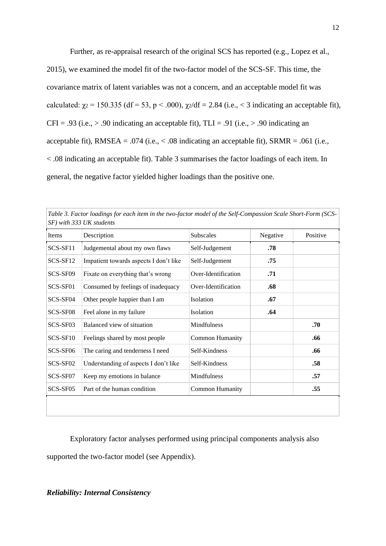Further, as re-appraisal research of the original SCS has reported (e.g., Lopez et al., 2015), we examined the model fit of the two-factor model of the SCS-SF. This time, the covariance matrix of latent variables was not a concern, and an acceptable model fit was calculated:  $\gamma_2 = 150.335$  (df = 53, p < .000),  $\gamma_2$ /df = 2.84 (i.e., < 3 indicating an acceptable fit),  $CFI = .93$  (i.e.,  $> .90$  indicating an acceptable fit), TLI = .91 (i.e.,  $> .90$  indicating an acceptable fit), RMSEA = .074 (i.e.,  $< .08$  indicating an acceptable fit), SRMR = .061 (i.e., < .08 indicating an acceptable fit). Table 3 summarises the factor loadings of each item. In general, the negative factor yielded higher loadings than the positive one.

| Items    | Description                            | Subscales              | Negative | Positive |
|----------|----------------------------------------|------------------------|----------|----------|
| SCS-SF11 | Judgemental about my own flaws         | Self-Judgement         | .78      |          |
| SCS-SF12 | Impatient towards aspects I don't like | Self-Judgement         | .75      |          |
| SCS-SF09 | Fixate on everything that's wrong      | Over-Identification    | .71      |          |
| SCS-SF01 | Consumed by feelings of inadequacy     | Over-Identification    | .68      |          |
| SCS-SF04 | Other people happier than I am         | Isolation              | .67      |          |
| SCS-SF08 | Feel alone in my failure               | Isolation              | .64      |          |
| SCS-SF03 | Balanced view of situation             | Mindfulness            |          | .70      |
| SCS-SF10 | Feelings shared by most people         | <b>Common Humanity</b> |          | .66      |
| SCS-SF06 | The caring and tenderness I need       | Self-Kindness          |          | .66      |
| SCS-SF02 | Understanding of aspects I don't like  | Self-Kindness          |          | .58      |
| SCS-SF07 | Keep my emotions in balance            | Mindfulness            |          | .57      |
| SCS-SF05 | Part of the human condition            | <b>Common Humanity</b> |          | .55      |

Exploratory factor analyses performed using principal components analysis also supported the two-factor model (see Appendix).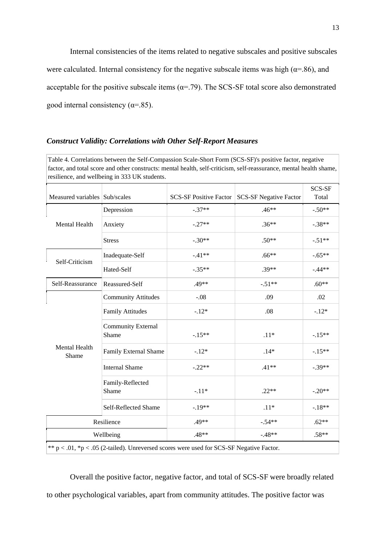Internal consistencies of the items related to negative subscales and positive subscales were calculated. Internal consistency for the negative subscale items was high ( $\alpha$ =.86), and acceptable for the positive subscale items ( $\alpha$ =.79). The SCS-SF total score also demonstrated good internal consistency ( $\alpha$ =.85).

## *Construct Validity: Correlations with Other Self-Report Measures*

Table 4. Correlations between the Self-Compassion Scale-Short Form (SCS-SF)'s positive factor, negative factor, and total score and other constructs: mental health, self-criticism, self-reassurance, mental health shame, resilience, and wellbeing in 333 UK students.

| Measured variables Sub/scales |                                    | <b>SCS-SF Positive Factor</b>                                                               | <b>SCS-SF Negative Factor</b> | SCS-SF<br>Total |
|-------------------------------|------------------------------------|---------------------------------------------------------------------------------------------|-------------------------------|-----------------|
|                               | Depression                         | $-.37**$                                                                                    | $.46**$                       | $-.50**$        |
| Mental Health                 | Anxiety                            | $-.27**$                                                                                    | $.36**$                       | $-.38**$        |
|                               | <b>Stress</b>                      | $-.30**$                                                                                    | $.50**$                       | $-.51**$        |
| Self-Criticism                | Inadequate-Self                    | $-41**$                                                                                     | $.66**$                       | $-.65**$        |
|                               | Hated-Self                         | $-.35**$                                                                                    | $.39**$                       | $-44**$         |
| Self-Reassurance              | Reassured-Self                     | .49**                                                                                       | $-.51**$                      | $.60**$         |
| Mental Health<br>Shame        | <b>Community Attitudes</b>         | $-.08$                                                                                      | .09                           | .02             |
|                               | <b>Family Attitudes</b>            | $-12*$                                                                                      | .08                           | $-.12*$         |
|                               | <b>Community External</b><br>Shame | $-.15**$                                                                                    | $.11*$                        | $-.15**$        |
|                               | Family External Shame              | $-12*$                                                                                      | $.14*$                        | $-.15**$        |
|                               | <b>Internal Shame</b>              | $-.22**$                                                                                    | $.41**$                       | $-.39**$        |
|                               | Family-Reflected<br>Shame          | $-.11*$                                                                                     | $.22**$                       | $-.20**$        |
|                               | Self-Reflected Shame               | $-19**$                                                                                     | $.11*$                        | $-.18**$        |
| Resilience                    |                                    | $.49**$                                                                                     | $-.54**$                      | $.62**$         |
| Wellbeing                     |                                    | $.48**$                                                                                     | $-.48**$                      | $.58**$         |
|                               |                                    | ** $p < .01$ , *p < .05 (2-tailed). Unreversed scores were used for SCS-SF Negative Factor. |                               |                 |

Overall the positive factor, negative factor, and total of SCS-SF were broadly related to other psychological variables, apart from community attitudes. The positive factor was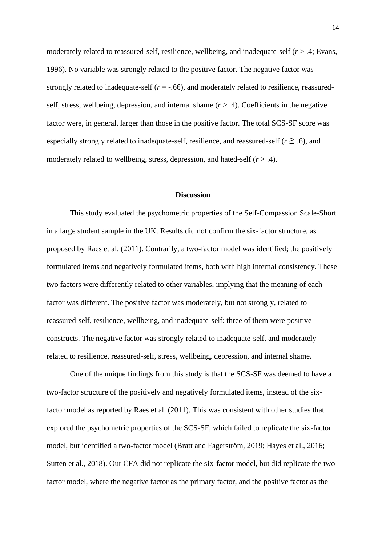moderately related to reassured-self, resilience, wellbeing, and inadequate-self (*r* > .4; Evans, 1996). No variable was strongly related to the positive factor. The negative factor was strongly related to inadequate-self  $(r = -.66)$ , and moderately related to resilience, reassuredself, stress, wellbeing, depression, and internal shame  $(r > .4)$ . Coefficients in the negative factor were, in general, larger than those in the positive factor. The total SCS-SF score was especially strongly related to inadequate-self, resilience, and reassured-self ( $r \geq 0.6$ ), and moderately related to wellbeing, stress, depression, and hated-self ( $r > .4$ ).

## **Discussion**

This study evaluated the psychometric properties of the Self-Compassion Scale-Short in a large student sample in the UK. Results did not confirm the six-factor structure, as proposed by Raes et al. (2011). Contrarily, a two-factor model was identified; the positively formulated items and negatively formulated items, both with high internal consistency. These two factors were differently related to other variables, implying that the meaning of each factor was different. The positive factor was moderately, but not strongly, related to reassured-self, resilience, wellbeing, and inadequate-self: three of them were positive constructs. The negative factor was strongly related to inadequate-self, and moderately related to resilience, reassured-self, stress, wellbeing, depression, and internal shame.

One of the unique findings from this study is that the SCS-SF was deemed to have a two-factor structure of the positively and negatively formulated items, instead of the sixfactor model as reported by Raes et al. (2011). This was consistent with other studies that explored the psychometric properties of the SCS-SF, which failed to replicate the six-factor model, but identified a two-factor model (Bratt and Fagerström, 2019; Hayes et al., 2016; Sutten et al., 2018). Our CFA did not replicate the six-factor model, but did replicate the twofactor model, where the negative factor as the primary factor, and the positive factor as the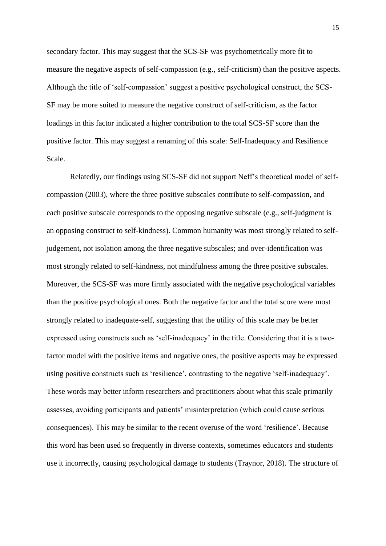secondary factor. This may suggest that the SCS-SF was psychometrically more fit to measure the negative aspects of self-compassion (e.g., self-criticism) than the positive aspects. Although the title of 'self-compassion' suggest a positive psychological construct, the SCS-SF may be more suited to measure the negative construct of self-criticism, as the factor loadings in this factor indicated a higher contribution to the total SCS-SF score than the positive factor. This may suggest a renaming of this scale: Self-Inadequacy and Resilience Scale.

Relatedly, our findings using SCS-SF did not support Neff's theoretical model of selfcompassion (2003), where the three positive subscales contribute to self-compassion, and each positive subscale corresponds to the opposing negative subscale (e.g., self-judgment is an opposing construct to self-kindness). Common humanity was most strongly related to selfjudgement, not isolation among the three negative subscales; and over-identification was most strongly related to self-kindness, not mindfulness among the three positive subscales. Moreover, the SCS-SF was more firmly associated with the negative psychological variables than the positive psychological ones. Both the negative factor and the total score were most strongly related to inadequate-self, suggesting that the utility of this scale may be better expressed using constructs such as 'self-inadequacy' in the title. Considering that it is a twofactor model with the positive items and negative ones, the positive aspects may be expressed using positive constructs such as 'resilience', contrasting to the negative 'self-inadequacy'. These words may better inform researchers and practitioners about what this scale primarily assesses, avoiding participants and patients' misinterpretation (which could cause serious consequences). This may be similar to the recent overuse of the word 'resilience'. Because this word has been used so frequently in diverse contexts, sometimes educators and students use it incorrectly, causing psychological damage to students (Traynor, 2018). The structure of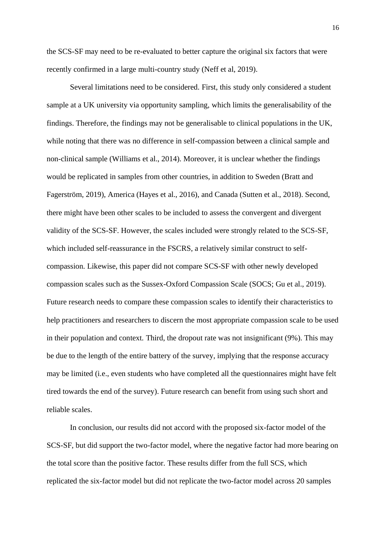the SCS-SF may need to be re-evaluated to better capture the original six factors that were recently confirmed in a large multi-country study (Neff et al, 2019).

Several limitations need to be considered. First, this study only considered a student sample at a UK university via opportunity sampling, which limits the generalisability of the findings. Therefore, the findings may not be generalisable to clinical populations in the UK, while noting that there was no difference in self-compassion between a clinical sample and non-clinical sample (Williams et al., 2014). Moreover, it is unclear whether the findings would be replicated in samples from other countries, in addition to Sweden (Bratt and Fagerström, 2019), America (Hayes et al., 2016), and Canada (Sutten et al., 2018). Second, there might have been other scales to be included to assess the convergent and divergent validity of the SCS-SF. However, the scales included were strongly related to the SCS-SF, which included self-reassurance in the FSCRS, a relatively similar construct to selfcompassion. Likewise, this paper did not compare SCS-SF with other newly developed compassion scales such as the Sussex-Oxford Compassion Scale (SOCS; Gu et al., 2019). Future research needs to compare these compassion scales to identify their characteristics to help practitioners and researchers to discern the most appropriate compassion scale to be used in their population and context. Third, the dropout rate was not insignificant (9%). This may be due to the length of the entire battery of the survey, implying that the response accuracy may be limited (i.e., even students who have completed all the questionnaires might have felt tired towards the end of the survey). Future research can benefit from using such short and reliable scales.

In conclusion, our results did not accord with the proposed six-factor model of the SCS-SF, but did support the two-factor model, where the negative factor had more bearing on the total score than the positive factor. These results differ from the full SCS, which replicated the six-factor model but did not replicate the two-factor model across 20 samples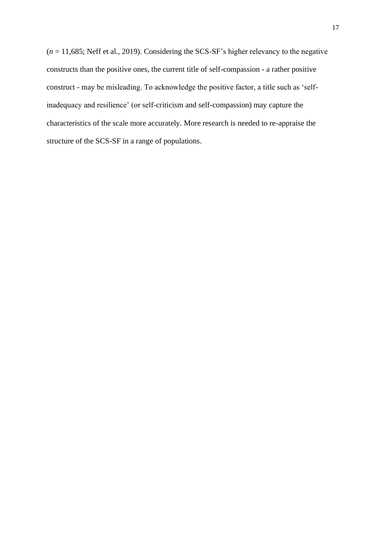$(n = 11,685;$  Neff et al., 2019). Considering the SCS-SF's higher relevancy to the negative constructs than the positive ones, the current title of self-compassion - a rather positive construct - may be misleading. To acknowledge the positive factor, a title such as 'selfinadequacy and resilience' (or self-criticism and self-compassion) may capture the characteristics of the scale more accurately. More research is needed to re-appraise the structure of the SCS-SF in a range of populations.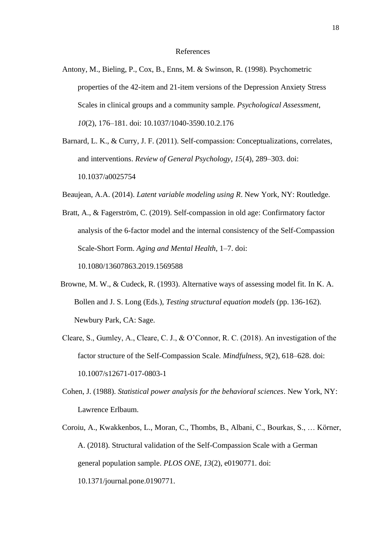#### References

Antony, M., Bieling, P., Cox, B., Enns, M. & Swinson, R. (1998). Psychometric properties of the 42-item and 21-item versions of the Depression Anxiety Stress Scales in clinical groups and a community sample. *Psychological Assessment*, *10*(2), 176–181. doi: 10.1037/1040-3590.10.2.176

Barnard, L. K., & Curry, J. F. (2011). Self-compassion: Conceptualizations, correlates, and interventions. *Review of General Psychology*, *15*(4), 289–303. doi: 10.1037/a0025754

Beaujean, A.A. (2014). *Latent variable modeling using R*. New York, NY: Routledge.

Bratt, A., & Fagerström, C. (2019). Self-compassion in old age: Confirmatory factor analysis of the 6-factor model and the internal consistency of the Self-Compassion Scale-Short Form. *Aging and Mental Health*, 1–7. doi: 10.1080/13607863.2019.1569588

- Browne, M. W., & Cudeck, R. (1993). Alternative ways of assessing model fit. In K. A. Bollen and J. S. Long (Eds.), *Testing structural equation models* (pp. 136-162). Newbury Park, CA: Sage.
- Cleare, S., Gumley, A., Cleare, C. J., & O'Connor, R. C. (2018). An investigation of the factor structure of the Self-Compassion Scale. *Mindfulness*, *9*(2), 618–628. doi: 10.1007/s12671-017-0803-1
- Cohen, J. (1988). *Statistical power analysis for the behavioral sciences*. New York, NY: Lawrence Erlbaum.
- Coroiu, A., Kwakkenbos, L., Moran, C., Thombs, B., Albani, C., Bourkas, S., … Körner, A. (2018). Structural validation of the Self-Compassion Scale with a German general population sample. *PLOS ONE*, *13*(2), e0190771. doi: 10.1371/journal.pone.0190771.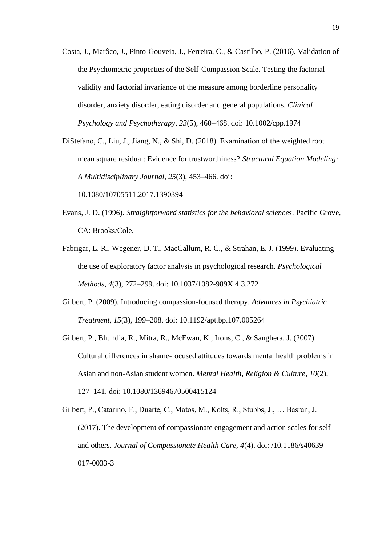- Costa, J., Marôco, J., Pinto-Gouveia, J., Ferreira, C., & Castilho, P. (2016). Validation of the Psychometric properties of the Self-Compassion Scale. Testing the factorial validity and factorial invariance of the measure among borderline personality disorder, anxiety disorder, eating disorder and general populations. *Clinical Psychology and Psychotherapy*, *23*(5), 460–468. doi: 10.1002/cpp.1974
- DiStefano, C., Liu, J., Jiang, N., & Shi, D. (2018). Examination of the weighted root mean square residual: Evidence for trustworthiness? *Structural Equation Modeling: A Multidisciplinary Journal*, *25*(3), 453–466. doi:

10.1080/10705511.2017.1390394

- Evans, J. D. (1996). *Straightforward statistics for the behavioral sciences*. Pacific Grove, CA: Brooks/Cole.
- Fabrigar, L. R., Wegener, D. T., MacCallum, R. C., & Strahan, E. J. (1999). Evaluating the use of exploratory factor analysis in psychological research. *Psychological Methods*, *4*(3), 272–299. doi: 10.1037/1082-989X.4.3.272
- Gilbert, P. (2009). Introducing compassion-focused therapy. *Advances in Psychiatric Treatment*, *15*(3), 199–208. doi: 10.1192/apt.bp.107.005264
- Gilbert, P., Bhundia, R., Mitra, R., McEwan, K., Irons, C., & Sanghera, J. (2007). Cultural differences in shame-focused attitudes towards mental health problems in Asian and non-Asian student women. *Mental Health, Religion & Culture*, *10*(2), 127–141. doi: 10.1080/13694670500415124

Gilbert, P., Catarino, F., Duarte, C., Matos, M., Kolts, R., Stubbs, J., … Basran, J. (2017). The development of compassionate engagement and action scales for self and others. *Journal of Compassionate Health Care, 4*(4). doi: /10.1186/s40639- 017-0033-3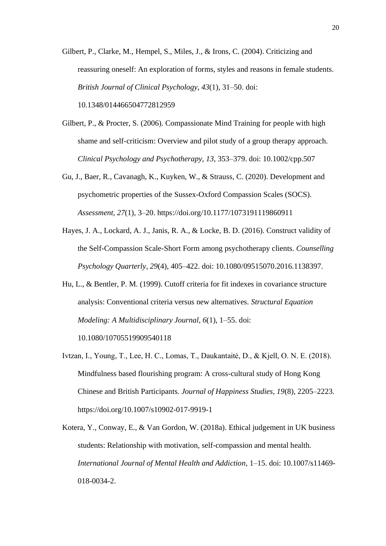Gilbert, P., Clarke, M., Hempel, S., Miles, J., & Irons, C. (2004). Criticizing and reassuring oneself: An exploration of forms, styles and reasons in female students. *British Journal of Clinical Psychology*, *43*(1), 31–50. doi: 10.1348/014466504772812959

- Gilbert, P., & Procter, S. (2006). Compassionate Mind Training for people with high shame and self-criticism: Overview and pilot study of a group therapy approach. *Clinical Psychology and Psychotherapy*, *13*, 353–379. doi: 10.1002/cpp.507
- Gu, J., Baer, R., Cavanagh, K., Kuyken, W., & Strauss, C. (2020). Development and psychometric properties of the Sussex-Oxford Compassion Scales (SOCS). *Assessment, 27*(1), 3–20. https://doi.org/10.1177/1073191119860911
- Hayes, J. A., Lockard, A. J., Janis, R. A., & Locke, B. D. (2016). Construct validity of the Self-Compassion Scale-Short Form among psychotherapy clients. *Counselling Psychology Quarterly*, *29*(4), 405–422. doi: 10.1080/09515070.2016.1138397.
- Hu, L., & Bentler, P. M. (1999). Cutoff criteria for fit indexes in covariance structure analysis: Conventional criteria versus new alternatives. *Structural Equation Modeling: A Multidisciplinary Journal*, *6*(1), 1–55. doi:

10.1080/10705519909540118

- Ivtzan, I., Young, T., Lee, H. C., Lomas, T., Daukantaitė, D., & Kjell, O. N. E. (2018). Mindfulness based flourishing program: A cross-cultural study of Hong Kong Chinese and British Participants. *Journal of Happiness Studies, 19*(8), 2205–2223. https://doi.org/10.1007/s10902-017-9919-1
- Kotera, Y., Conway, E., & Van Gordon, W. (2018a). Ethical judgement in UK business students: Relationship with motivation, self-compassion and mental health. *International Journal of Mental Health and Addiction*, 1–15. doi: 10.1007/s11469- 018-0034-2.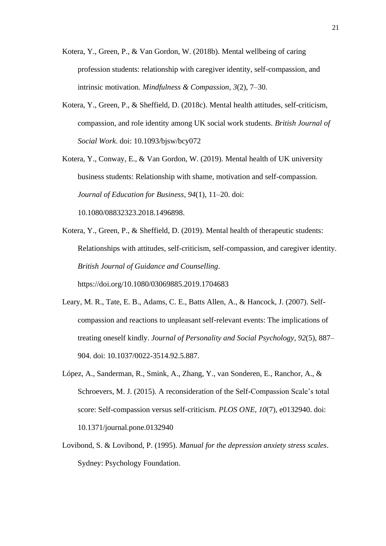- Kotera, Y., Green, P., & Van Gordon, W. (2018b). Mental wellbeing of caring profession students: relationship with caregiver identity, self-compassion, and intrinsic motivation. *Mindfulness & Compassion*, *3*(2), 7–30.
- Kotera, Y., Green, P., & Sheffield, D. (2018c). Mental health attitudes, self-criticism, compassion, and role identity among UK social work students. *British Journal of Social Work*. doi: 10.1093/bjsw/bcy072
- Kotera, Y., Conway, E., & Van Gordon, W. (2019). Mental health of UK university business students: Relationship with shame, motivation and self-compassion. *Journal of Education for Business*, *94*(1), 11–20. doi: 10.1080/08832323.2018.1496898.
- Kotera, Y., Green, P., & Sheffield, D. (2019). Mental health of therapeutic students: Relationships with attitudes, self-criticism, self-compassion, and caregiver identity. *British Journal of Guidance and Counselling*. https://doi.org/10.1080/03069885.2019.1704683
- Leary, M. R., Tate, E. B., Adams, C. E., Batts Allen, A., & Hancock, J. (2007). Selfcompassion and reactions to unpleasant self-relevant events: The implications of treating oneself kindly. *Journal of Personality and Social Psychology*, *92*(5), 887– 904. doi: 10.1037/0022-3514.92.5.887.
- López, A., Sanderman, R., Smink, A., Zhang, Y., van Sonderen, E., Ranchor, A., & Schroevers, M. J. (2015). A reconsideration of the Self-Compassion Scale's total score: Self-compassion versus self-criticism. *PLOS ONE*, *10*(7), e0132940. doi: 10.1371/journal.pone.0132940
- Lovibond, S. & Lovibond, P. (1995). *Manual for the depression anxiety stress scales*. Sydney: Psychology Foundation.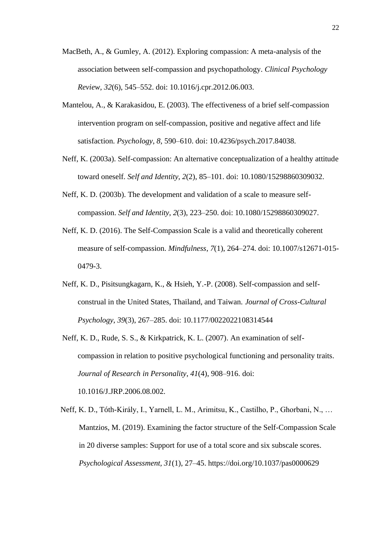- MacBeth, A., & Gumley, A. (2012). Exploring compassion: A meta-analysis of the association between self-compassion and psychopathology. *Clinical Psychology Review*, *32*(6), 545–552. doi: 10.1016/j.cpr.2012.06.003.
- Mantelou, A., & Karakasidou, E. (2003). The effectiveness of a brief self-compassion intervention program on self-compassion, positive and negative affect and life satisfaction. *Psychology*, *8*, 590–610. doi: 10.4236/psych.2017.84038.
- Neff, K. (2003a). Self-compassion: An alternative conceptualization of a healthy attitude toward oneself. *Self and Identity*, *2*(2), 85–101. doi: 10.1080/15298860309032.
- Neff, K. D. (2003b). The development and validation of a scale to measure selfcompassion. *Self and Identity*, *2*(3), 223–250. doi: 10.1080/15298860309027.
- Neff, K. D. (2016). The Self-Compassion Scale is a valid and theoretically coherent measure of self-compassion. *Mindfulness*, *7*(1), 264–274. doi: 10.1007/s12671-015- 0479-3.
- Neff, K. D., Pisitsungkagarn, K., & Hsieh, Y.-P. (2008). Self-compassion and selfconstrual in the United States, Thailand, and Taiwan. *Journal of Cross-Cultural Psychology*, *39*(3), 267–285. doi: 10.1177/0022022108314544
- Neff, K. D., Rude, S. S., & Kirkpatrick, K. L. (2007). An examination of selfcompassion in relation to positive psychological functioning and personality traits. *Journal of Research in Personality*, *41*(4), 908–916. doi: 10.1016/J.JRP.2006.08.002.
- Neff, K. D., Tóth-Király, I., Yarnell, L. M., Arimitsu, K., Castilho, P., Ghorbani, N., … Mantzios, M. (2019). Examining the factor structure of the Self-Compassion Scale in 20 diverse samples: Support for use of a total score and six subscale scores. *Psychological Assessment, 31*(1), 27–45. https://doi.org/10.1037/pas0000629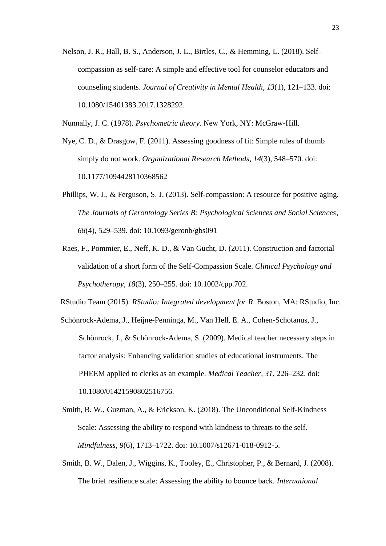Nelson, J. R., Hall, B. S., Anderson, J. L., Birtles, C., & Hemming, L. (2018). Self– compassion as self-care: A simple and effective tool for counselor educators and counseling students. *Journal of Creativity in Mental Health*, *13*(1), 121–133. doi: 10.1080/15401383.2017.1328292.

Nunnally, J. C. (1978). *Psychometric theory*. New York, NY: McGraw-Hill.

- Nye, C. D., & Drasgow, F. (2011). Assessing goodness of fit: Simple rules of thumb simply do not work. *Organizational Research Methods*, *14*(3), 548–570. doi: 10.1177/1094428110368562
- Phillips, W. J., & Ferguson, S. J. (2013). Self-compassion: A resource for positive aging. *The Journals of Gerontology Series B: Psychological Sciences and Social Sciences*, *68*(4), 529–539. doi: 10.1093/geronb/gbs091
- Raes, F., Pommier, E., Neff, K. D., & Van Gucht, D. (2011). Construction and factorial validation of a short form of the Self-Compassion Scale. *Clinical Psychology and Psychotherapy*, *18*(3), 250–255. doi: 10.1002/cpp.702.

RStudio Team (2015). *RStudio: Integrated development for R*. Boston, MA: RStudio, Inc.

- Schönrock-Adema, J., Heijne-Penninga, M., Van Hell, E. A., Cohen-Schotanus, J., Schönrock, J., & Schönrock-Adema, S. (2009). Medical teacher necessary steps in factor analysis: Enhancing validation studies of educational instruments. The PHEEM applied to clerks as an example. *Medical Teacher, 31*, 226–232. doi: 10.1080/01421590802516756.
- Smith, B. W., Guzman, A., & Erickson, K. (2018). The Unconditional Self-Kindness Scale: Assessing the ability to respond with kindness to threats to the self. *Mindfulness*, *9*(6), 1713–1722. doi: 10.1007/s12671-018-0912-5.
- Smith, B. W., Dalen, J., Wiggins, K., Tooley, E., Christopher, P., & Bernard, J. (2008). The brief resilience scale: Assessing the ability to bounce back. *International*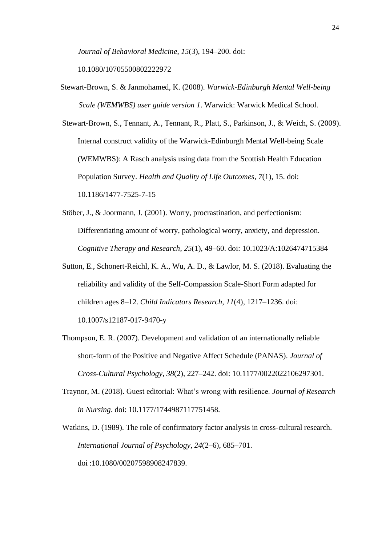*Journal of Behavioral Medicine*, *15*(3), 194–200. doi:

10.1080/10705500802222972

Stewart-Brown, S. & Janmohamed, K. (2008). *Warwick-Edinburgh Mental Well-being Scale (WEMWBS) user guide version 1*. Warwick: Warwick Medical School.

Stewart-Brown, S., Tennant, A., Tennant, R., Platt, S., Parkinson, J., & Weich, S. (2009). Internal construct validity of the Warwick-Edinburgh Mental Well-being Scale (WEMWBS): A Rasch analysis using data from the Scottish Health Education Population Survey. *Health and Quality of Life Outcomes*, *7*(1), 15. doi: 10.1186/1477-7525-7-15

- Stöber, J., & Joormann, J. (2001). Worry, procrastination, and perfectionism: Differentiating amount of worry, pathological worry, anxiety, and depression. *Cognitive Therapy and Research*, *25*(1), 49–60. doi: 10.1023/A:1026474715384
- Sutton, E., Schonert-Reichl, K. A., Wu, A. D., & Lawlor, M. S. (2018). Evaluating the reliability and validity of the Self-Compassion Scale-Short Form adapted for children ages 8–12. *Child Indicators Research*, *11*(4), 1217–1236. doi: 10.1007/s12187-017-9470-y
- Thompson, E. R. (2007). Development and validation of an internationally reliable short-form of the Positive and Negative Affect Schedule (PANAS). *Journal of Cross-Cultural Psychology*, *38*(2), 227–242. doi: 10.1177/0022022106297301.
- Traynor, M. (2018). Guest editorial: What's wrong with resilience. *Journal of Research in Nursing*. doi: 10.1177/1744987117751458.
- Watkins, D. (1989). The role of confirmatory factor analysis in cross-cultural research. *International Journal of Psychology*, *24*(2–6), 685–701. doi :10.1080/00207598908247839.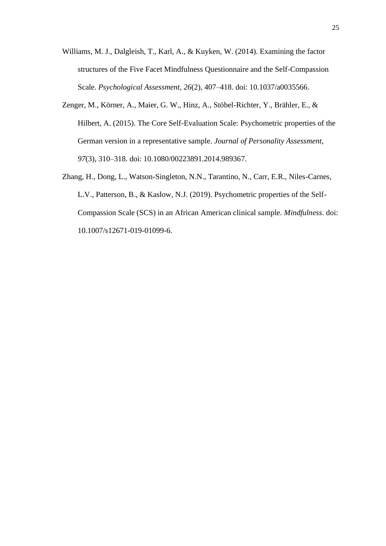- Williams, M. J., Dalgleish, T., Karl, A., & Kuyken, W. (2014). Examining the factor structures of the Five Facet Mindfulness Questionnaire and the Self-Compassion Scale. *Psychological Assessment*, *26*(2), 407–418. doi: 10.1037/a0035566.
- Zenger, M., Körner, A., Maier, G. W., Hinz, A., Stöbel-Richter, Y., Brähler, E., & Hilbert, A. (2015). The Core Self-Evaluation Scale: Psychometric properties of the German version in a representative sample. *Journal of Personality Assessment*, *97*(3), 310–318. doi: 10.1080/00223891.2014.989367.
- Zhang, H., Dong, L., Watson-Singleton, N.N., Tarantino, N., Carr, E.R., Niles-Carnes, L.V., Patterson, B., & Kaslow, N.J. (2019). Psychometric properties of the Self-Compassion Scale (SCS) in an African American clinical sample. *Mindfulness*. doi: 10.1007/s12671-019-01099-6.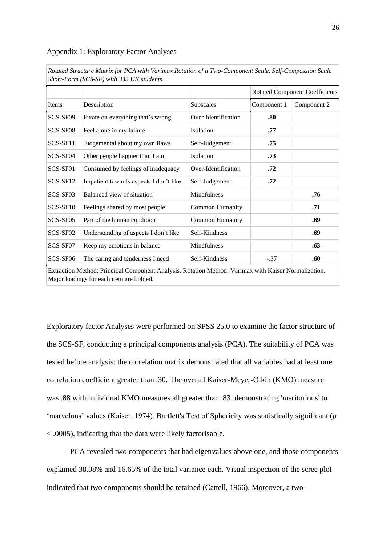#### Appendix 1: Exploratory Factor Analyses

|          | Short-Form (SCS-SF) with 333 UK students                                                                                                         |                        |                                       |             |
|----------|--------------------------------------------------------------------------------------------------------------------------------------------------|------------------------|---------------------------------------|-------------|
|          |                                                                                                                                                  |                        | <b>Rotated Component Coefficients</b> |             |
| Items    | Description                                                                                                                                      | <b>Subscales</b>       | Component 1                           | Component 2 |
| SCS-SF09 | Fixate on everything that's wrong                                                                                                                | Over-Identification    | .80                                   |             |
| SCS-SF08 | Feel alone in my failure                                                                                                                         | Isolation              | .77                                   |             |
| SCS-SF11 | Judgemental about my own flaws                                                                                                                   | Self-Judgement         | .75                                   |             |
| SCS-SF04 | Other people happier than I am                                                                                                                   | Isolation              | .73                                   |             |
| SCS-SF01 | Consumed by feelings of inadequacy                                                                                                               | Over-Identification    | .72                                   |             |
| SCS-SF12 | Impatient towards aspects I don't like                                                                                                           | Self-Judgement         | .72                                   |             |
| SCS-SF03 | Balanced view of situation                                                                                                                       | Mindfulness            |                                       | .76         |
| SCS-SF10 | Feelings shared by most people                                                                                                                   | <b>Common Humanity</b> |                                       | .71         |
| SCS-SF05 | Part of the human condition                                                                                                                      | <b>Common Humanity</b> |                                       | .69         |
| SCS-SF02 | Understanding of aspects I don't like                                                                                                            | Self-Kindness          |                                       | .69         |
| SCS-SF07 | Keep my emotions in balance                                                                                                                      | <b>Mindfulness</b>     |                                       | .63         |
| SCS-SF06 | The caring and tenderness I need                                                                                                                 | Self-Kindness          | $-.37$                                | .60         |
|          | Extraction Method: Principal Component Analysis. Rotation Method: Varimax with Kaiser Normalization.<br>Major loadings for each item are bolded. |                        |                                       |             |

*Rotated Structure Matrix for PCA with Varimax Rotation of a Two-Component Scale. Self-Compassion Scale* 

Exploratory factor Analyses were performed on SPSS 25.0 to examine the factor structure of the SCS-SF, conducting a principal components analysis (PCA). The suitability of PCA was tested before analysis: the correlation matrix demonstrated that all variables had at least one correlation coefficient greater than .30. The overall Kaiser-Meyer-Olkin (KMO) measure was .88 with individual KMO measures all greater than .83, demonstrating 'meritorious' to 'marvelous' values (Kaiser, 1974). Bartlett's Test of Sphericity was statistically significant (*p* < .0005), indicating that the data were likely factorisable.

PCA revealed two components that had eigenvalues above one, and those components explained 38.08% and 16.65% of the total variance each. Visual inspection of the scree plot indicated that two components should be retained (Cattell, 1966). Moreover, a two